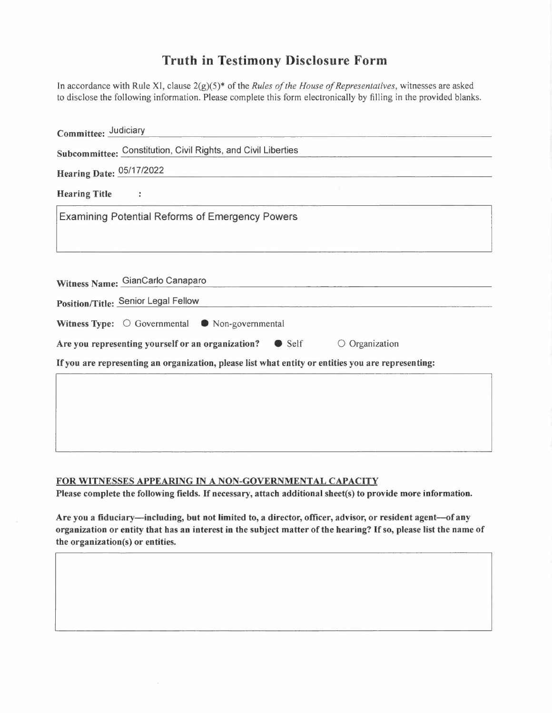## **Truth in Testimony Disclosure Form**

| In accordance with Rule XI, clause $2(g)(5)^*$ of the <i>Rules of the House of Representatives</i> , witnesses are asked<br>to disclose the following information. Please complete this form electronically by filling in the provided blanks. |
|------------------------------------------------------------------------------------------------------------------------------------------------------------------------------------------------------------------------------------------------|
| Committee: Judiciary                                                                                                                                                                                                                           |
| Subcommittee: Constitution, Civil Rights, and Civil Liberties                                                                                                                                                                                  |
| Hearing Date: 05/17/2022                                                                                                                                                                                                                       |
| <b>Hearing Title</b><br>$\overset{\bullet}{\bullet}$                                                                                                                                                                                           |
| <b>Examining Potential Reforms of Emergency Powers</b>                                                                                                                                                                                         |
| Witness Name: GianCarlo Canaparo                                                                                                                                                                                                               |
| Position/Title: Senior Legal Fellow                                                                                                                                                                                                            |
| Witness Type: $\bigcirc$ Governmental $\bigcirc$ Non-governmental                                                                                                                                                                              |
| Are you representing yourself or an organization?<br>Self<br>$\circ$ Organization                                                                                                                                                              |
| If you are representing an organization, please list what entity or entities you are representing:                                                                                                                                             |
|                                                                                                                                                                                                                                                |

## **FOR WITNESSES APPEARING** IN **A NON-GOVERNMENTAL CAPACITY**

Please complete the following fields. If necessary, attach additional sheet(s) to provide more information.

Are you a fiduciary-including, but not limited to, a director, officer, advisor, or resident agent-of any organization or entity that has an interest in the subject matter of the hearing? If so, please list the name of the organization(s) or entities.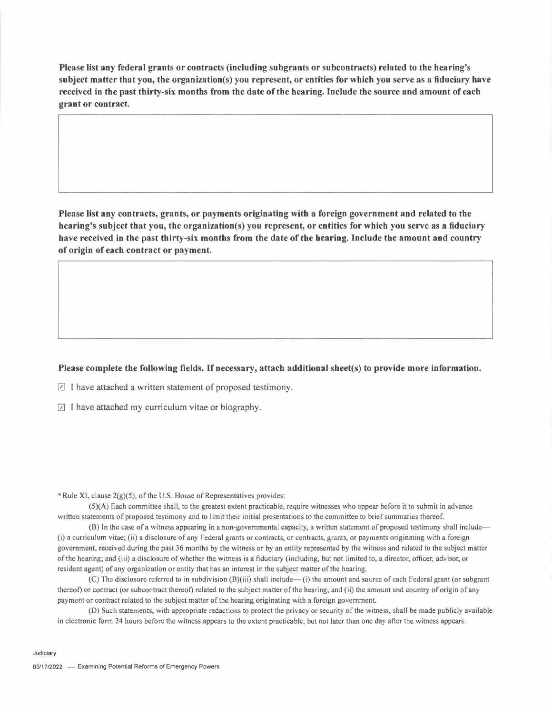**Please list any federal grants or contracts (including subgrants or subcontracts) related to the hearing's** subject matter that you, the organization(s) you represent, or entities for which you serve as a fiduciary have received in the past thirty-six months from the date of the hearing. Include the source and amount of each **grant or contract.**

**Please list any contracts, grants, or payments originating with a foreign government and related to the** hearing's subject that you, the organization(s) you represent, or entities for which you serve as a fiduciary have received in the past thirty-six months from the date of the hearing. Include the amount and country **of origin of each contract or payment.**

## **Please complete the following fields. If necessary, attach additional sheet(s) to provide more information.**

 $\Box$  I have attached a written statement of proposed testimony.

 $\Box$  I have attached my curriculum vitae or biography.

\* Rule XI, clause  $2(g)(5)$ , of the U.S. House of Representatives provides:

(5)(A) Each committee shall, to the greatest extent practicable, require witnesses who appear before it to submit in advance written statements of proposed testimony and to limit their initial presentations to the committee to brief summaries thereof.

(B) In the case of a witness appearing in a non-governmental capacity, a written statement of proposed testimony shall include— (i) a curriculum vitae; (ii) a disclosure of any Federal grants or contracts, or contracts, grants, or payments originating with a foreign government, received during the past 36 months by the witness or by an entity represented by the witness and related to the subject matter ofthe hearing; and (iii) <sup>a</sup> disclosure of whether the witness is <sup>a</sup> fiduciary (including, but not limited to, <sup>a</sup> director, officer, advisor, or resident agent) of any organization or entity that has an interest in the subject matter of the hearing.

(C) The disclosure referred to in subdivision (B)(iii) shall include—(i) the amount and source of each Federal grant (or subgrant thereof) or contract (or subcontract thereof) related to the subject matter of the hearing; and (ii) the amount and country of origin of any payment or contract related to the subject matter of the hearing originating with a foreign government.

(D) Such statements, with appropriate redactions to protect the privacy or security ofthe witness, shall be made publicly available in electronic form 24 hours before the witness appears to the extent practicable, but not later than one day after the witness appears.